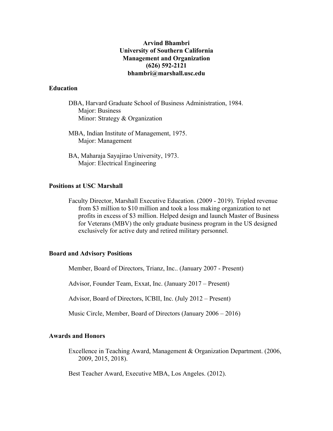# **Arvind Bhambri University of Southern California Management and Organization (626) 592-2121 bhambri@marshall.usc.edu**

### **Education**

- DBA, Harvard Graduate School of Business Administration, 1984. Major: Business Minor: Strategy & Organization
- MBA, Indian Institute of Management, 1975. Major: Management
- BA, Maharaja Sayajirao University, 1973. Major: Electrical Engineering

# **Positions at USC Marshall**

Faculty Director, Marshall Executive Education. (2009 - 2019). Tripled revenue from \$3 million to \$10 million and took a loss making organization to net profits in excess of \$3 million. Helped design and launch Master of Business for Veterans (MBV) the only graduate business program in the US designed exclusively for active duty and retired military personnel.

### **Board and Advisory Positions**

Member, Board of Directors, Trianz, Inc.. (January 2007 - Present)

Advisor, Founder Team, Exxat, Inc. (January 2017 – Present)

Advisor, Board of Directors, ICBII, Inc. (July 2012 – Present)

Music Circle, Member, Board of Directors (January 2006 – 2016)

### **Awards and Honors**

Excellence in Teaching Award, Management & Organization Department. (2006, 2009, 2015, 2018).

Best Teacher Award, Executive MBA, Los Angeles. (2012).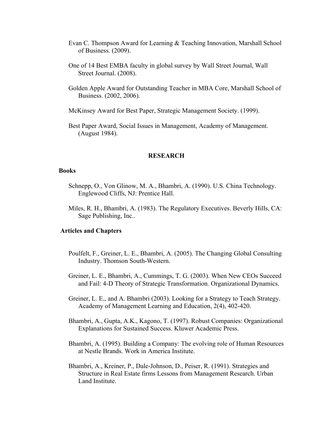- Evan C. Thompson Award for Learning & Teaching Innovation, Marshall School of Business. (2009).
- One of 14 Best EMBA faculty in global survey by Wall Street Journal, Wall Street Journal. (2008).
- Golden Apple Award for Outstanding Teacher in MBA Core, Marshall School of Business. (2002, 2006).
- McKinsey Award for Best Paper, Strategic Management Society. (1999).

Best Paper Award, Social Issues in Management, Academy of Management. (August 1984).

#### **RESEARCH**

#### **Books**

- Schnepp, O., Von Glinow, M. A., Bhambri, A. (1990). U.S. China Technology. Englewood Cliffs, NJ: Prentice Hall.
- Miles, R. H., Bhambri, A. (1983). The Regulatory Executives. Beverly Hills, CA: Sage Publishing, Inc..

#### **Articles and Chapters**

- Poulfelt, F., Greiner, L. E., Bhambri, A. (2005). The Changing Global Consulting Industry. Thomson South-Western.
- Greiner, L. E., Bhambri, A., Cummings, T. G. (2003). When New CEOs Succeed and Fail: 4-D Theory of Strategic Transformation. Organizational Dynamics.
- Greiner, L. E., and A. Bhambri (2003). Looking for a Strategy to Teach Strategy. Academy of Management Learning and Education, 2(4), 402-420.
- Bhambri, A., Gupta, A.K., Kagono, T. (1997). Robust Companies: Organizational Explanations for Sustained Success. Kluwer Academic Press.
- Bhambri, A. (1995). Building a Company: The evolving role of Human Resources at Nestle Brands. Work in America Institute.
- Bhambri, A., Kreiner, P., Dale-Johnson, D., Peiser, R. (1991). Strategies and Structure in Real Estate firms Lessons from Management Research. Urban Land Institute.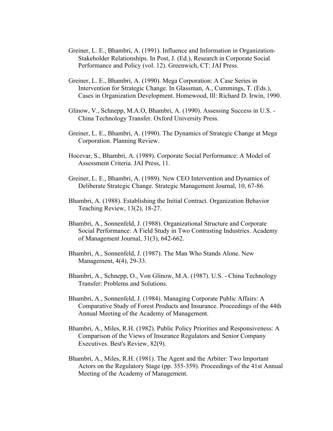- Greiner, L. E., Bhambri, A. (1991). Influence and Information in Organization-Stakeholder Relationships. In Post, J. (Ed.), Research in Corporate Social Performance and Policy (vol. 12). Greenwich, CT: JAI Press.
- Greiner, L. E., Bhambri, A. (1990). Mega Corporation: A Case Series in Intervention for Strategic Change. In Glassman, A., Cummings, T. (Eds.), Cases in Organization Development. Homewood, Ill: Richard D. Irwin, 1990.
- Glinow, V., Schnepp, M.A.O, Bhambri, A. (1990). Assessing Success in U.S. China Technology Transfer. Oxford University Press.
- Greiner, L. E., Bhambri, A. (1990). The Dynamics of Strategic Change at Mega Corporation. Planning Review.
- Hocevar, S., Bhambri, A. (1989). Corporate Social Performance: A Model of Assessment Criteria. JAI Press, 11.
- Greiner, L. E., Bhambri, A. (1989). New CEO Intervention and Dynamics of Deliberate Strategic Change. Strategic Management Journal, 10, 67-86.
- Bhambri, A. (1988). Establishing the Initial Contract. Organization Behavior Teaching Review, 13(2), 18-27.
- Bhambri, A., Sonnenfeld, J. (1988). Organizational Structure and Corporate Social Performance: A Field Study in Two Contrasting Industries. Academy of Management Journal, 31(3), 642-662.
- Bhambri, A., Sonnenfeld, J. (1987). The Man Who Stands Alone. New Management, 4(4), 29-33.
- Bhambri, A., Schnepp, O., Von Glinow, M.A. (1987). U.S. China Technology Transfer: Problems and Solutions.
- Bhambri, A., Sonnenfeld, J. (1984). Managing Corporate Public Affairs: A Comparative Study of Forest Products and Insurance. Proceedings of the 44th Annual Meeting of the Academy of Management.
- Bhambri, A., Miles, R.H. (1982). Public Policy Priorities and Responsiveness: A Comparison of the Views of Insurance Regulators and Senior Company Executives. Best's Review, 82(9).
- Bhambri, A., Miles, R.H. (1981). The Agent and the Arbiter: Two Important Actors on the Regulatory Stage (pp. 355-359). Proceedings of the 41st Annual Meeting of the Academy of Management.